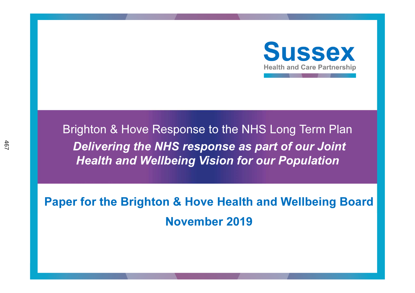

Brighton & Hove Response to the NHS Long Term PlanDelivering the NHS response as part of our Joint Health and Wellbeing Vision for our Population

Paper for the Brighton & Hove Health and Wellbeing BoardNovember 2019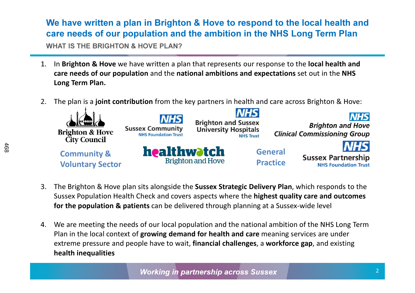# We have written a plan in Brighton & Hove to respond to the local health and care needs of our population and the ambition in the NHS Long Term Plan

WHAT IS THE BRIGHTON & HOVE PLAN?

- 1. In Brighton & Hove we have written a plan that represents our response to the local health and care needs of our population and the national ambitions and expectations set out in the NHS Long Term Plan.
- 2. The plan is a **joint contribution** from the key partners in health and care across Brighton & Hove:



- 3. The Brighton & Hove plan sits alongside the **Sussex Strategic Delivery Plan**, which responds to the Sussex Population Health Check and covers aspects where the highest quality care and outcomes for the population & patients can be delivered through planning at a Sussex-wide level
- 4. We are meeting the needs of our local population and the national ambition of the NHS Long Term Plan in the local context of growing demand for health and care meaning services are under extreme pressure and people have to wait, **financial challenges**, a **workforce gap**, and existing health inequalities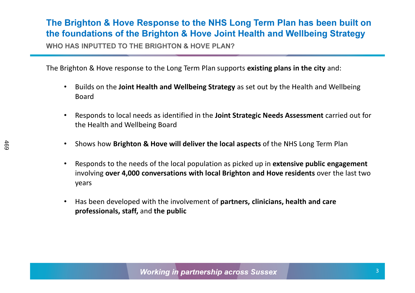## The Brighton & Hove Response to the NHS Long Term Plan has been built on the foundations of the Brighton & Hove Joint Health and Wellbeing Strategy

WHO HAS INPUTTED TO THE BRIGHTON & HOVE PLAN?

The Brighton & Hove response to the Long Term Plan supports existing plans in the city and:

- $\bullet$ Builds on the Joint Health and Wellbeing Strategy as set out by the Health and Wellbeing Board
- • Responds to local needs as identified in the Joint Strategic Needs Assessment carried out for the Health and Wellbeing Board
- •Shows how Brighton & Hove will deliver the local aspects of the NHS Long Term Plan
- •Responds to the needs of the local population as picked up in **extensive public engagement** involving over 4,000 conversations with local Brighton and Hove residents over the last two years
- $\bullet$ Has been developed with the involvement of partners, clinicians, health and care professionals, staff, and the public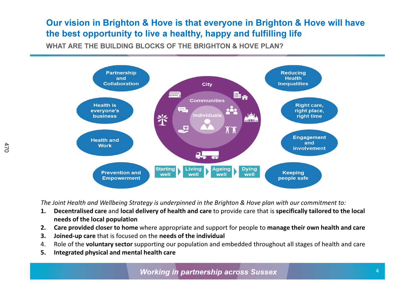#### Our vision in Brighton & Hove is that everyone in Brighton & Hove will have the best opportunity to live a healthy, happy and fulfilling life

WHAT ARE THE BUILDING BLOCKS OF THE BRIGHTON & HOVE PLAN?



The Joint Health and Wellbeing Strategy is underpinned in the Brighton & Hove plan with our commitment to:

- 1. Decentralised care and local delivery of health and care to provide care that is specifically tailored to the local needs of the local population
- 2. Care provided closer to home where appropriate and support for people to manage their own health and care
- 3. Joined-up care that is focused on the needs of the individual
- 4. Role of the voluntary sector supporting our population and embedded throughout all stages of health and care
- 5. Integrated physical and mental health care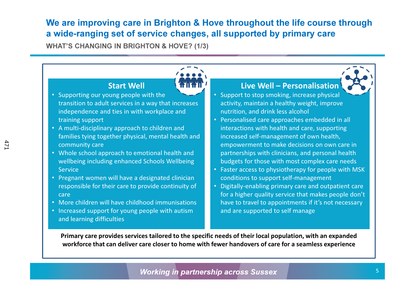#### We are improving care in Brighton & Hove throughout the life course through a wide-ranging set of service changes, all supported by primary care

WHAT'S CHANGING IN BRIGHTON & HOVE? (1/3)

#### Primary care provides services tailored to the specific needs of their local population, with an expanded workforce that can deliver care closer to home with fewer handovers of care for a seamless experienceStart Well• Supporting our young people with the transition to adult services in a way that increases independence and ties in with workplace and training support • A multi-disciplinary approach to children and families tying together physical, mental health andcommunity care • Whole school approach to emotional health and wellbeing including enhanced Schools Wellbeing Service • Pregnant women will have a designated clinician responsible for their care to provide continuity ofcare • More children will have childhood immunisations • Increased support for young people with autism and learning difficultiesLive Well – Personalisation • Support to stop smoking, increase physical activity, maintain a healthy weight, improve nutrition, and drink less alcohol• Personalised care approaches embedded in all interactions with health and care, supporting increased self-management of own health, empowerment to make decisions on own care in partnerships with clinicians, and personal health budgets for those with most complex care needs • Faster access to physiotherapy for people with MSK conditions to support self-management • Digitally-enabling primary care and outpatient care for a higher quality service that makes people don't have to travel to appointments if it's not necessary and are supported to self manage

5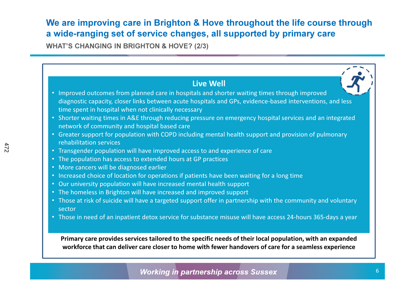### We are improving care in Brighton & Hove throughout the life course through a wide-ranging set of service changes, all supported by primary care

WHAT'S CHANGING IN BRIGHTON & HOVE? (2/3)

| <b>Live Well</b><br>• Improved outcomes from planned care in hospitals and shorter waiting times through improved                                                 |
|-------------------------------------------------------------------------------------------------------------------------------------------------------------------|
| diagnostic capacity, closer links between acute hospitals and GPs, evidence-based interventions, and less<br>time spent in hospital when not clinically necessary |
| • Shorter waiting times in A&E through reducing pressure on emergency hospital services and an integrated<br>network of community and hospital based care         |
| • Greater support for population with COPD including mental health support and provision of pulmonary<br>rehabilitation services                                  |
| • Transgender population will have improved access to and experience of care                                                                                      |
| • The population has access to extended hours at GP practices                                                                                                     |
| • More cancers will be diagnosed earlier                                                                                                                          |
| • Increased choice of location for operations if patients have been waiting for a long time                                                                       |
| • Our university population will have increased mental health support                                                                                             |
| • The homeless in Brighton will have increased and improved support                                                                                               |
| • Those at risk of suicide will have a targeted support offer in partnership with the community and voluntary<br>sector                                           |
| • Those in need of an inpatient detox service for substance misuse will have access 24-hours 365-days a year                                                      |
| Primary care provides services tailored to the specific needs of their local population, with an expanded                                                         |
| workforce that can deliver care closer to home with fewer handovers of care for a seamless experience                                                             |

472

**Working in partnership across Sussex**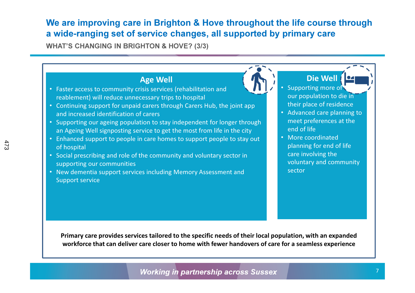#### We are improving care in Brighton & Hove throughout the life course through a wide-ranging set of service changes, all supported by primary care

WHAT'S CHANGING IN BRIGHTON & HOVE? (3/3)

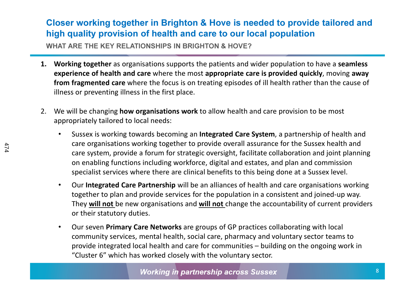### Closer working together in Brighton & Hove is needed to provide tailored and high quality provision of health and care to our local population

WHAT ARE THE KEY RELATIONSHIPS IN BRIGHTON & HOVE?

- 1. Working together as organisations supports the patients and wider population to have a seamless experience of health and care where the most appropriate care is provided quickly, moving away from fragmented care where the focus is on treating episodes of ill health rather than the cause of illness or preventing illness in the first place.
- 2. We will be changing **how organisations work** to allow health and care provision to be most appropriately tailored to local needs:
	- • Sussex is working towards becoming an Integrated Care System, a partnership of health and care organisations working together to provide overall assurance for the Sussex health and care system, provide a forum for strategic oversight, facilitate collaboration and joint planning on enabling functions including workforce, digital and estates, and plan and commission specialist services where there are clinical benefits to this being done at a Sussex level.
	- $\bullet$  Our Integrated Care Partnership will be an alliances of health and care organisations working together to plan and provide services for the population in a consistent and joined-up way. They will not be new organisations and will not change the accountability of current providers or their statutory duties.
	- $\bullet$  Our seven Primary Care Networks are groups of GP practices collaborating with local community services, mental health, social care, pharmacy and voluntary sector teams to provide integrated local health and care for communities – building on the ongoing work in "Cluster 6" which has worked closely with the voluntary sector.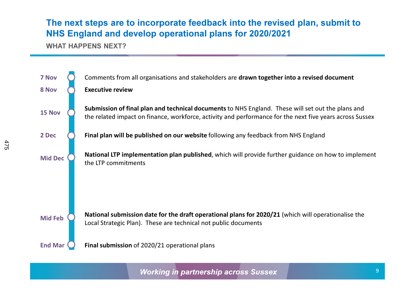#### The next steps are to incorporate feedback into the revised plan, submit to NHS England and develop operational plans for 2020/2021

WHAT HAPPENS NEXT?

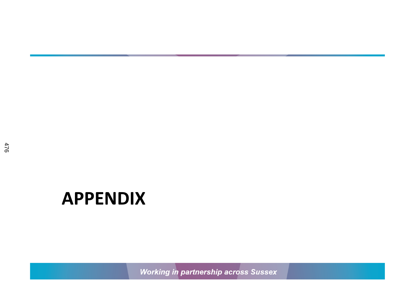# APPENDIX

**Working in partnership across Sussex**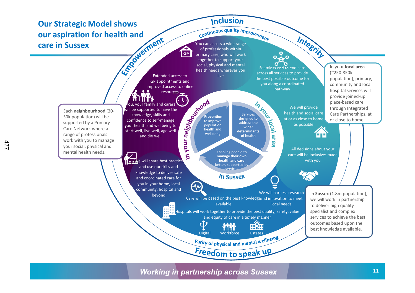#### Our Strategic Model shows our aspiration for health and You can access a wide range of professionals within care in Sussex

#### **Inclusion**

**Continuous quality improvement** primary care, who will work together to support your social, physical and mental health needs wherever you Extended access to live

GP appointments and improved access to online resources

Seamless end to end care across all services to provide the best possible outcome for you along a coordinated pathway

> We will provide health and social care at or as close to home as possible

Integrity

In your local area (~250-850k population), primary, community and local hospital services will provide joined-up place-based care through Integrated Care Partnerships, at



In your will be supported to have the Services knowledge, skills and Preventiondesigned to or close to home.confidence to self-manage б to improve address the your health and wellbeing to population  $\frac{1}{2}$ wider health and start well, live well, age well determinants 60 wellbeing of healtharea and die wellAll decisions about your Enabling people to خ care will be inclusive: made manage their own **ILE NO** e will share best practice health and care with you better, supported by and use our skills and servicesknowledge to deliver safe In Sussex and coordinated care for you in your home, local  $\Lambda$ community, hospital and We will harness research In Sussex (1.8m population), beyondCare will be based on the best knowledgeand innovation to meet we will work in partnership availablelocal needsto deliver high quality Hospitals will work together to provide the best quality, safety, value specialist and complex services to achieve the best and equity of care in a timely mannerτÙ outcomes based upon the 哺細 best knowledge available.Digital Workforce Estates<br>Parity of physical and mental wellbeing Digital WorkforceFreedom to speak up

#### **Working in partnership across Sussex**